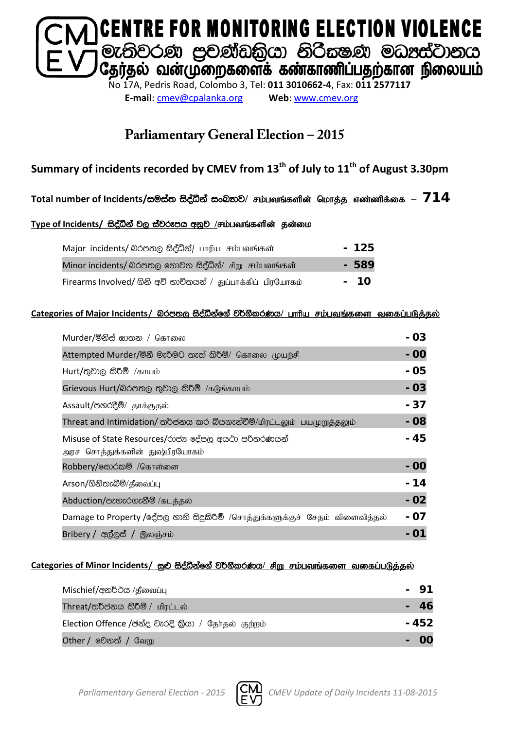

**E-mail**: [cmev@cpalanka.org](mailto:cmev@cpalanka.org) **Web**: [www.cmev.org](http://www.cmev.org/)

### **Parliamentary General Election – 2015**

### **Summary of incidents recorded by CMEV from 13th of July to 11th of August 3.30pm**

#### Total number of Incidents/සමස්ත සිද්ධීන් සංඛතාව/ சம்பவங்களின் மொத்த எண்ணிக்கை – 714

#### Type of Incidents/ සිද්ධීන් වල ස්වරූපය අනූව /சம்பவங்களின் தன்மை

| Major incidents/ @ Or & B 2 @ b unflu சம்பவங்கள்             | $-125$ |
|--------------------------------------------------------------|--------|
| Minor incidents/ බරපතල නොවන සිද්ධීන්/ சிறு சம்பவங்கள்        | $-589$ |
| Firearms Involved/ ගිනි අවි භාවිතයන් / துப்பாக்கிப் பிரயோகம் | - 10   |

#### **Categories of Major Incidents/** nrm;, i so aëkaf. a j¾. SlrKh**/** ghhpa rk;gtq ;fis tifg ;gLj;jy ;

| Murder/මිනිස් ඝාතන / கொலை                                                            | - 03  |
|--------------------------------------------------------------------------------------|-------|
| Attempted Murder/මිනී මැරීමට තැත් කිරීම්/ கொலை முயற்சி                               | - 00  |
| $Hurt /$ තුවාල කිරීම් /காயம்                                                         | - 05  |
| Grievous Hurt/බරපතල තුවාල කිරීම් /கடுங்காயம்                                         | $-03$ |
| Assault/පහරදීම්/ தாக்குதல்                                                           | - 37  |
| Threat and Intimidation/ තර්ජනය කර බියගැන්වීම්/மிரட்டலும் பயமுறுத்தலும்              | $-08$ |
| Misuse of State Resources/රාජන දේපල අයථා පරිතරණයන්<br>அரச சொத்துக்களின் துஷ்பிரயோகம் | - 45  |
| Robbery/க்லேல் /கொள்ளை                                                               | - 00  |
| Arson/ගිනිතැබීම්/தீவைப்பு                                                            | - 14  |
| Abduction/පැහැරගැනීම් /கடத்தல்                                                       | $-02$ |
| Damage to Property /දේපල හානි සිදුකිරීම් /சொத்துக்களுக்குச் சேதம் விளைவித்தல்        | - 07  |
| Bribery / අල්ලස් / இலஞ்சம்                                                           |       |

#### Categories of Minor Incidents/ සුළු සිද්ධීන්ගේ වර්ගීකරණය/ சிறு சம்பவங்களை வகைப்படுத்தல்

| Mischief/අනර්ථය /தீவைப்பு                           |       |
|-----------------------------------------------------|-------|
| Threat/තර්ජනය කිරීම් / மிரட்டல்                     |       |
| Election Offence /ඡන්ද වැරදි කියා / தேர்தல் குற்றம் | - 452 |
| <b>Other / වෙනත් / வேறு</b>                         |       |

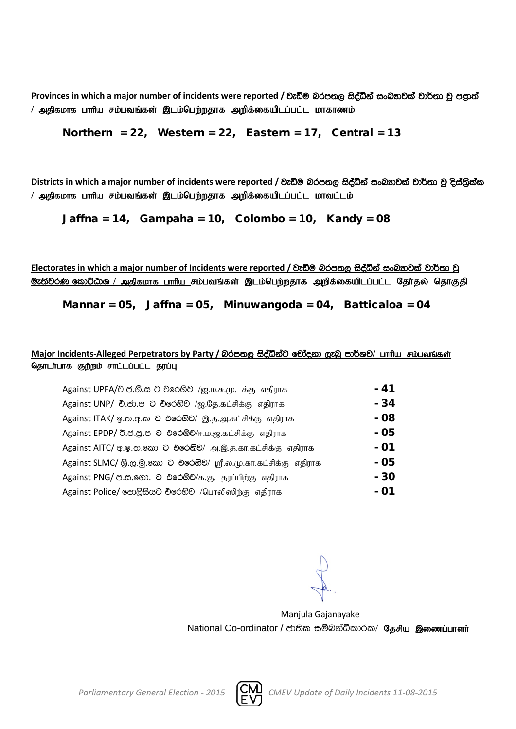**Provinces** in which a major number of incidents were reported / වැඩිම බරපතල සිද්ධීන් සංඛතාවක් වාර්තා වූ පළාත් <u>/ அகிகமாக பாரிய சம்பவங்கள் இடம்பெற்றதாக அறிக்கையிடப்பட்ட மாகாணம்</u>

Northern = 22, Western = 22, Eastern = 17, Central = 13

**Districts** in which a major number of incidents were reported / වැඩිම බරපතල සිද්ධීන් සංඛතාවක් වාර්තා වූ දිස්තිුක්ක <u>/ அதிகமாக பாரிய சம்பவங்கள் இடம்பெற்றதாக அறிக்கையிடப்பட்ட மாவட்டம்</u>

Jaffna = 14, Gampaha = 10, Colombo = 10, Kandy = 08

Electorates in which a major number of Incidents were reported / වැඩිම බරපතල සිද්ධීන් සංඛතාවක් වාර්තා වූ <mark>ூ: ல</mark>ிவ் கூறிமை / அதிகமாக பாரிய சம்பவங்கள் இடம்பெற்றதாக அறிக்கையிடப்பட்ட தேர்தல் தொகுதி

Mannar = 05, Jaffna = 05, Minuwangoda = 04, Batticaloa = 04

#### Major Incidents-Alleged Perpetrators by Party / බරපතල සිද්ධීන්ට චෝදනා ලැබූ පාර්ශව/ பாரிய சம்பவங்கள் <u>தொடர்பாக குற்றம் சாட்டப்பட்ட தரப்பு</u>

| Against UPFA/චි.ජ.නි.ස ට චිරෙහිව /ஐ.ம.சு.மு. க்கு எதிராக            | - 41 |
|---------------------------------------------------------------------|------|
| Against UNP/ චි.ජා.ප ට චිරෙහිව /ஐ.தே.கட்சிக்கு எதிராக               | - 34 |
| Against ITAK/ ஓ.ஐ. ச.ல 2 එරෙහිව/ இ.த.அ.கட்சிக்கு எதிராக             | - 08 |
| Against EPDP/ 0.8.8.8 ට එරෙහිව/ஈ.ம.ஜ.கட்சிக்கு எதிராக               | - 05 |
| Against AITC/ අ. இ. ஐ. இலை 2 එලෙහි ව/ அ. இ. த. கா. கட்சிக்கு எதிராக | - 01 |
| Against SLMC/ இ.ල.මු.කො ට එරෙහිව/ ஸ்ரீ.ல.மு.கா.கட்சிக்கு எதிராக     | - 05 |
| Against PNG/ ප.ස.නො. ට එරෙහිව/க.கு. தரப்பிற்கு எதிராக               | - 30 |
| Against Police/ පොලිසියට චරෙහිව /பொலிஸிற்கு எதிராக                  | - 01 |

Manjula Gajanayake National Co-ordinator / ජාතික සම්බන්ධීකාරක/ தேசிய இணைப்பாளர்

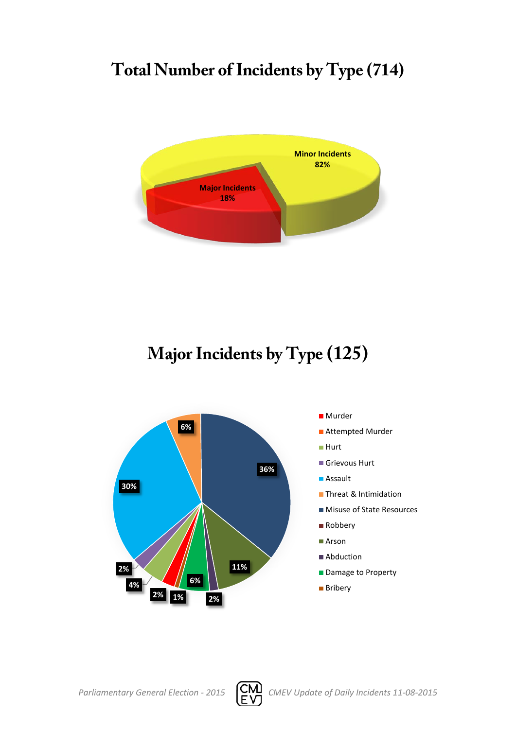# **Total Number of Incidents by Type (714)**



# **Major Incidents by Type (125)**